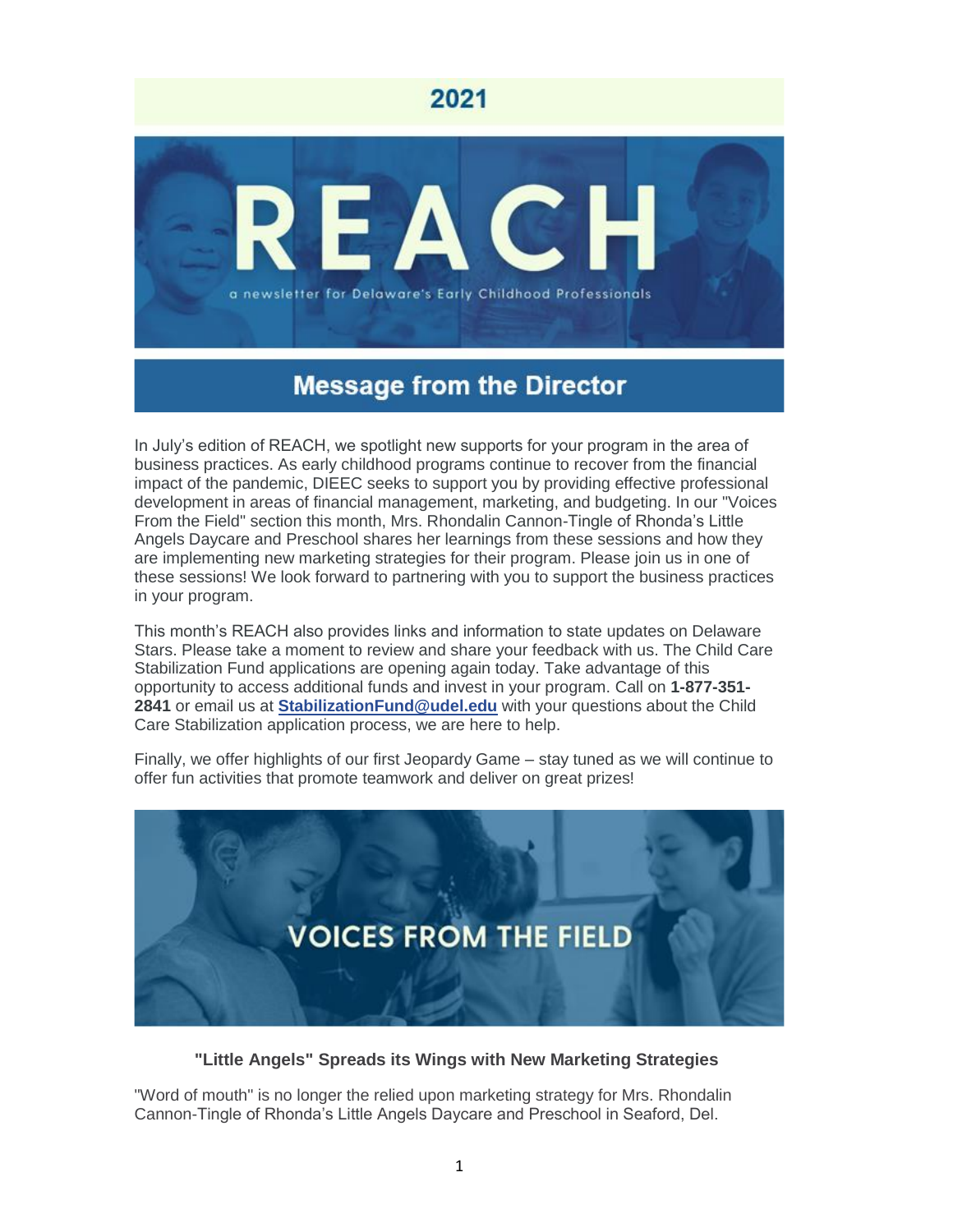

# **Message from the Director**

In July's edition of REACH, we spotlight new supports for your program in the area of business practices. As early childhood programs continue to recover from the financial impact of the pandemic, DIEEC seeks to support you by providing effective professional development in areas of financial management, marketing, and budgeting. In our "Voices From the Field" section this month, Mrs. Rhondalin Cannon-Tingle of Rhonda's Little Angels Daycare and Preschool shares her learnings from these sessions and how they are implementing new marketing strategies for their program. Please join us in one of these sessions! We look forward to partnering with you to support the business practices in your program.

This month's REACH also provides links and information to state updates on Delaware Stars. Please take a moment to review and share your feedback with us. The Child Care Stabilization Fund applications are opening again today. Take advantage of this opportunity to access additional funds and invest in your program. Call on **1-877-351- 2841** or email us at **[StabilizationFund@udel.edu](mailto:StabilizationFund@udel.edu)** with your questions about the Child Care Stabilization application process, we are here to help.

Finally, we offer highlights of our first Jeopardy Game – stay tuned as we will continue to offer fun activities that promote teamwork and deliver on great prizes!



#### **"Little Angels" Spreads its Wings with New Marketing Strategies**

"Word of mouth" is no longer the relied upon marketing strategy for Mrs. Rhondalin Cannon-Tingle of Rhonda's Little Angels Daycare and Preschool in Seaford, Del.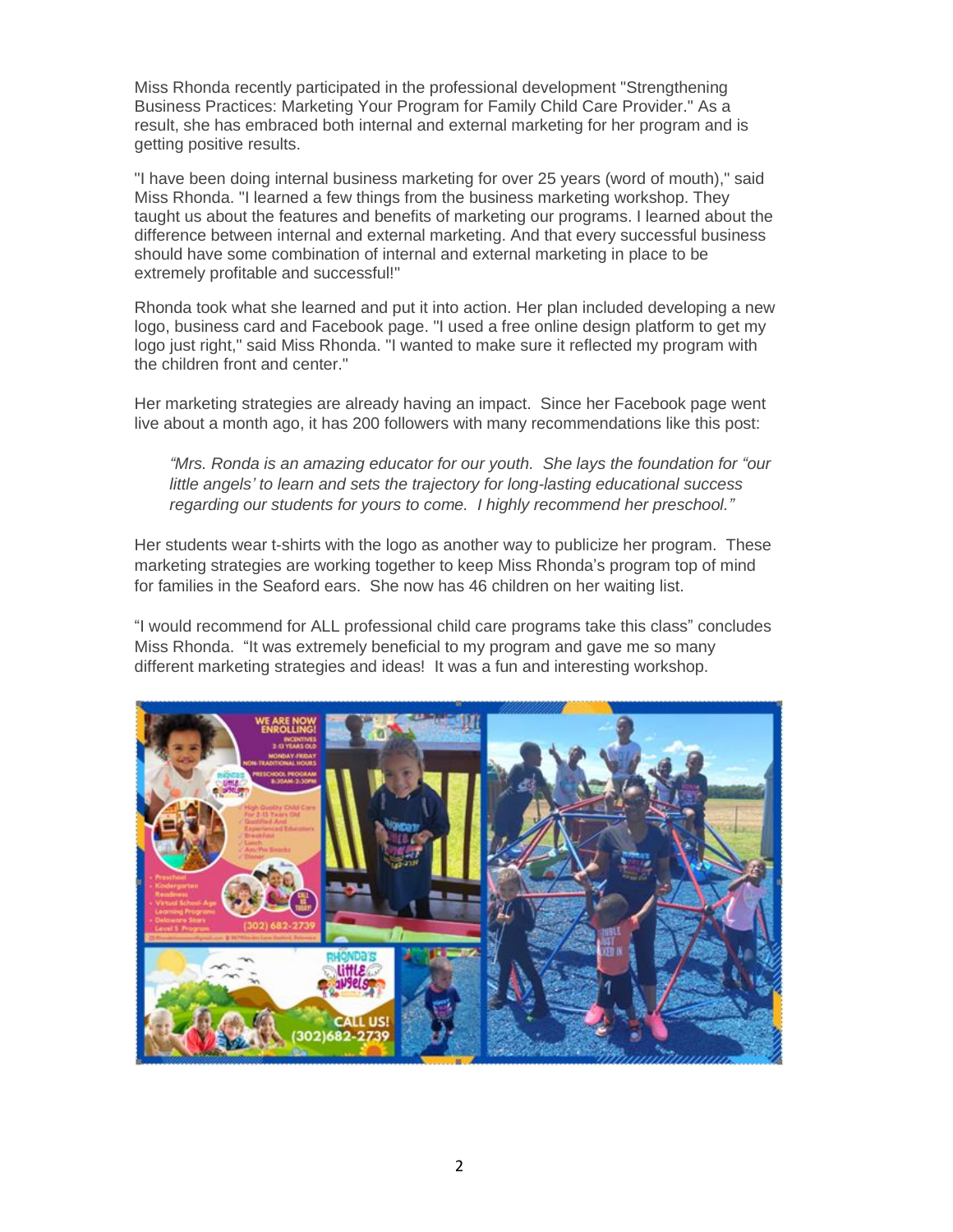Miss Rhonda recently participated in the professional development "Strengthening Business Practices: Marketing Your Program for Family Child Care Provider." As a result, she has embraced both internal and external marketing for her program and is getting positive results.

"I have been doing internal business marketing for over 25 years (word of mouth)," said Miss Rhonda. "I learned a few things from the business marketing workshop. They taught us about the features and benefits of marketing our programs. I learned about the difference between internal and external marketing. And that every successful business should have some combination of internal and external marketing in place to be extremely profitable and successful!"

Rhonda took what she learned and put it into action. Her plan included developing a new logo, business card and Facebook page. "I used a free online design platform to get my logo just right," said Miss Rhonda. "I wanted to make sure it reflected my program with the children front and center."

Her marketing strategies are already having an impact. Since her Facebook page went live about a month ago, it has 200 followers with many recommendations like this post:

*"Mrs. Ronda is an amazing educator for our youth. She lays the foundation for "our little angels' to learn and sets the trajectory for long-lasting educational success regarding our students for yours to come. I highly recommend her preschool."*

Her students wear t-shirts with the logo as another way to publicize her program. These marketing strategies are working together to keep Miss Rhonda's program top of mind for families in the Seaford ears. She now has 46 children on her waiting list.

"I would recommend for ALL professional child care programs take this class" concludes Miss Rhonda. "It was extremely beneficial to my program and gave me so many different marketing strategies and ideas! It was a fun and interesting workshop.

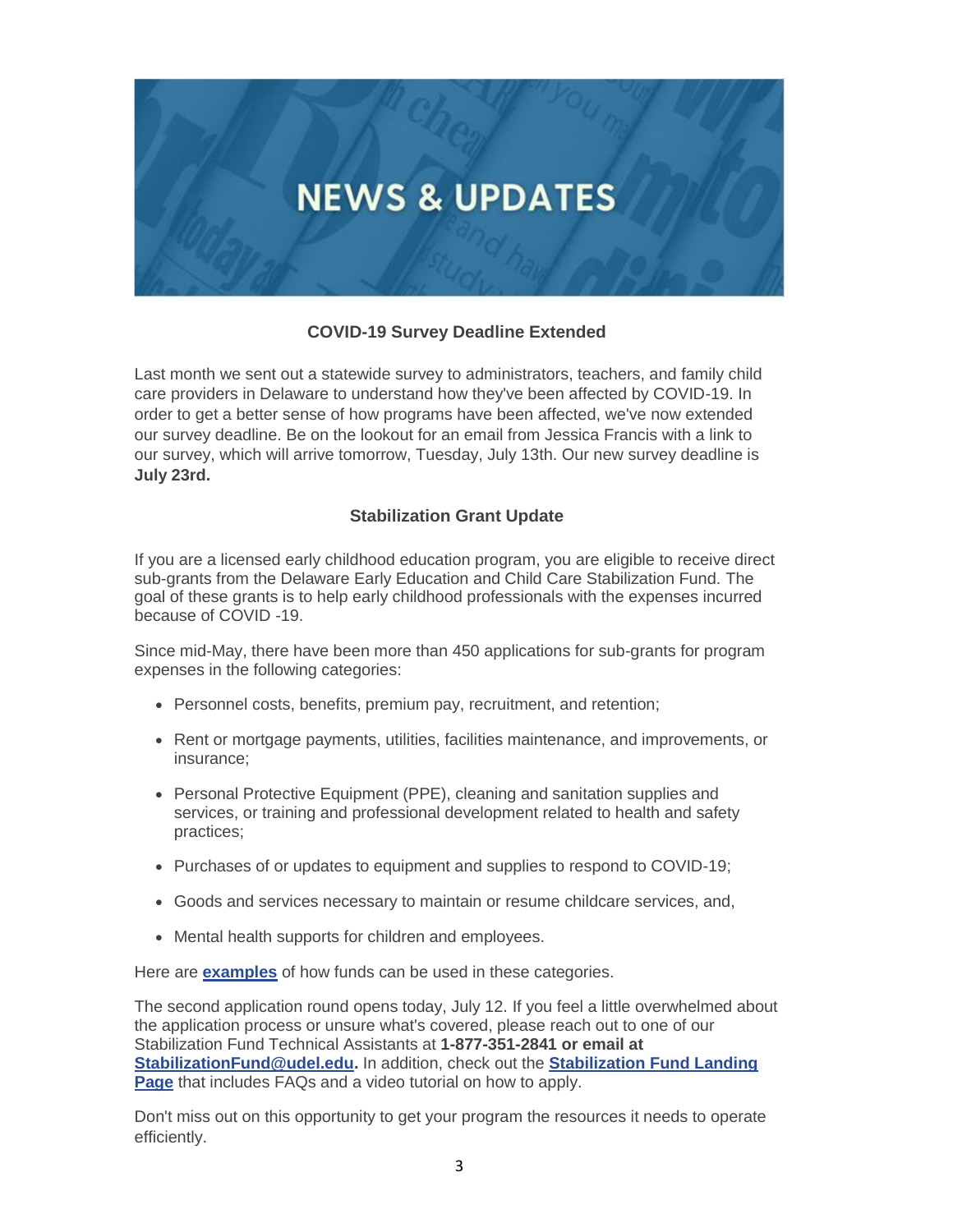

## **COVID-19 Survey Deadline Extended**

Last month we sent out a statewide survey to administrators, teachers, and family child care providers in Delaware to understand how they've been affected by COVID-19. In order to get a better sense of how programs have been affected, we've now extended our survey deadline. Be on the lookout for an email from Jessica Francis with a link to our survey, which will arrive tomorrow, Tuesday, July 13th. Our new survey deadline is **July 23rd.**

## **Stabilization Grant Update**

If you are a licensed early childhood education program, you are eligible to receive direct sub-grants from the Delaware Early Education and Child Care Stabilization Fund. The goal of these grants is to help early childhood professionals with the expenses incurred because of COVID -19.

Since mid-May, there have been more than 450 applications for sub-grants for program expenses in the following categories:

- Personnel costs, benefits, premium pay, recruitment, and retention;
- Rent or mortgage payments, utilities, facilities maintenance, and improvements, or insurance;
- Personal Protective Equipment (PPE), cleaning and sanitation supplies and services, or training and professional development related to health and safety practices;
- Purchases of or updates to equipment and supplies to respond to COVID-19;
- Goods and services necessary to maintain or resume childcare services, and,
- Mental health supports for children and employees.

Here are **[examples](https://r20.rs6.net/tn.jsp?f=001ICrMymEiquBQ9dBXF2bVcJytGlNnCLGlkduE0grwF54xl2HzLszL6ScSmtkGr2eWzIkjoMSiLN8wFAHWI1vU10aOSjrMGWeGr-svLrZVrOp2jKDF7C0rbXVDHpm4ZvQoPiZpl6Px2IhKD3Ty2Cd0_nZpBAu2OBWlDdpCMpMNkNa3CAUqffQ4DyksaaZ3KR5H76Ii6IZi_EI=&c=&ch=)** of how funds can be used in these categories.

The second application round opens today, July 12. If you feel a little overwhelmed about the application process or unsure what's covered, please reach out to one of our Stabilization Fund Technical Assistants at **1-877-351-2841 or email at [StabilizationFund@udel.edu.](mailto:StabilizationFund@udel.edu)** In addition, check out the **[Stabilization Fund Landing](https://r20.rs6.net/tn.jsp?f=001ICrMymEiquBQ9dBXF2bVcJytGlNnCLGlkduE0grwF54xl2HzLszL6QqtyUr2z6EN_834WFmn5EjyZpF0qUlzL_tTONRjJxOs4ZNpGo9Clxj8yWkxkTCGq0PJ3-4GHn5xYTzUsuPiDAFtyodqFVrjjIDIwmYXdcDi-cLL2rqNuQhC7gH8Hq2cii09EvsDYmVlmrsNb9_ZRwGu5D0m6hM0eW8640TYjIlAeuyZR9K8PVVaK0fvgYLYXA==&c=&ch=)  [Page](https://r20.rs6.net/tn.jsp?f=001ICrMymEiquBQ9dBXF2bVcJytGlNnCLGlkduE0grwF54xl2HzLszL6QqtyUr2z6EN_834WFmn5EjyZpF0qUlzL_tTONRjJxOs4ZNpGo9Clxj8yWkxkTCGq0PJ3-4GHn5xYTzUsuPiDAFtyodqFVrjjIDIwmYXdcDi-cLL2rqNuQhC7gH8Hq2cii09EvsDYmVlmrsNb9_ZRwGu5D0m6hM0eW8640TYjIlAeuyZR9K8PVVaK0fvgYLYXA==&c=&ch=)** that includes FAQs and a video tutorial on how to apply.

Don't miss out on this opportunity to get your program the resources it needs to operate efficiently.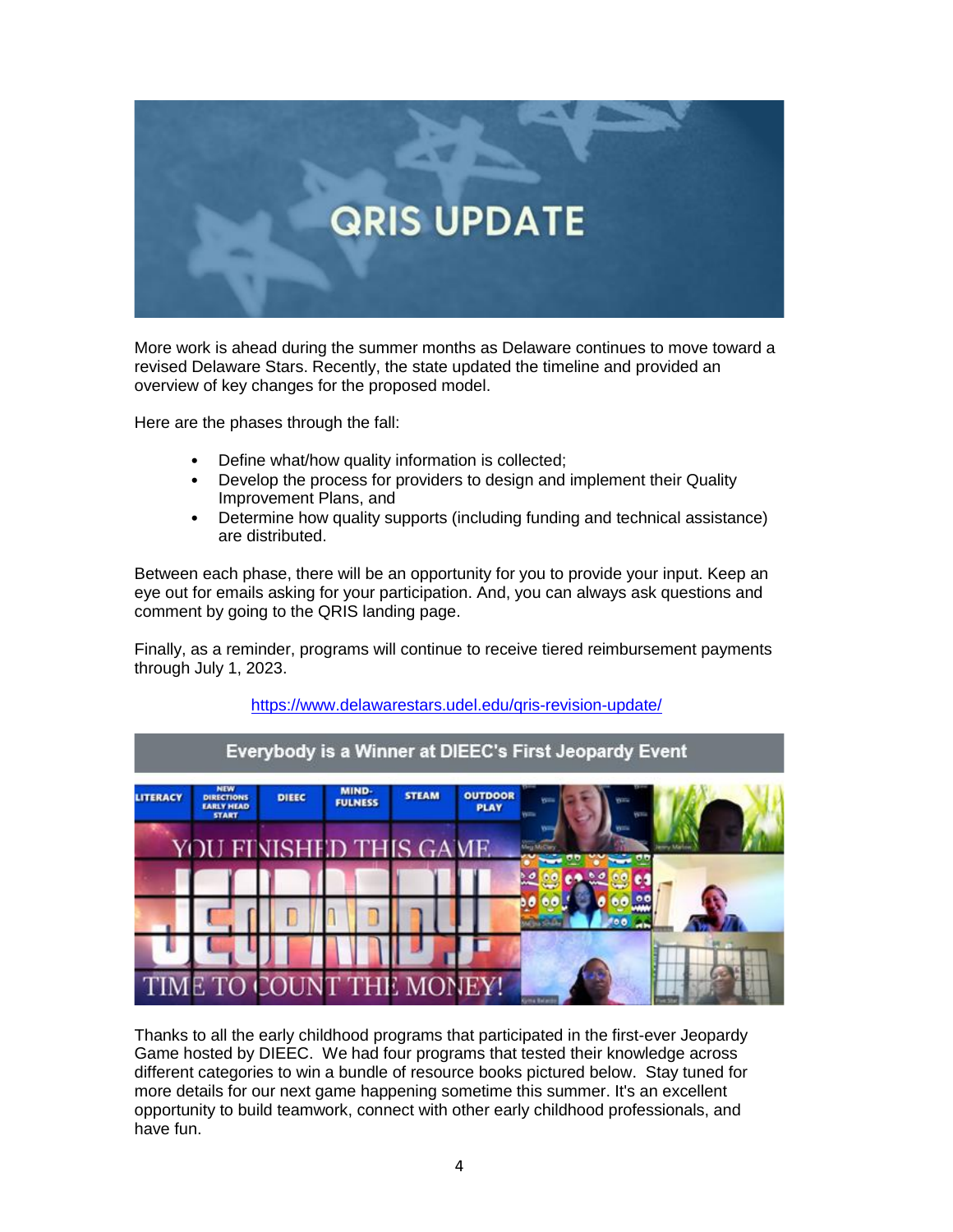

More work is ahead during the summer months as Delaware continues to move toward a revised Delaware Stars. Recently, the state updated the timeline and provided an overview of key changes for the proposed model.

Here are the phases through the fall:

- Define what/how quality information is collected;
- Develop the process for providers to design and implement their Quality Improvement Plans, and
- Determine how quality supports (including funding and technical assistance) are distributed.

Between each phase, there will be an opportunity for you to provide your input. Keep an eye out for emails asking for your participation. And, you can always ask questions and comment by going to the QRIS landing page.

Finally, as a reminder, programs will continue to receive tiered reimbursement payments through July 1, 2023.



#### <https://www.delawarestars.udel.edu/qris-revision-update/>

Thanks to all the early childhood programs that participated in the first-ever Jeopardy Game hosted by DIEEC. We had four programs that tested their knowledge across different categories to win a bundle of resource books pictured below. Stay tuned for more details for our next game happening sometime this summer. It's an excellent opportunity to build teamwork, connect with other early childhood professionals, and have fun.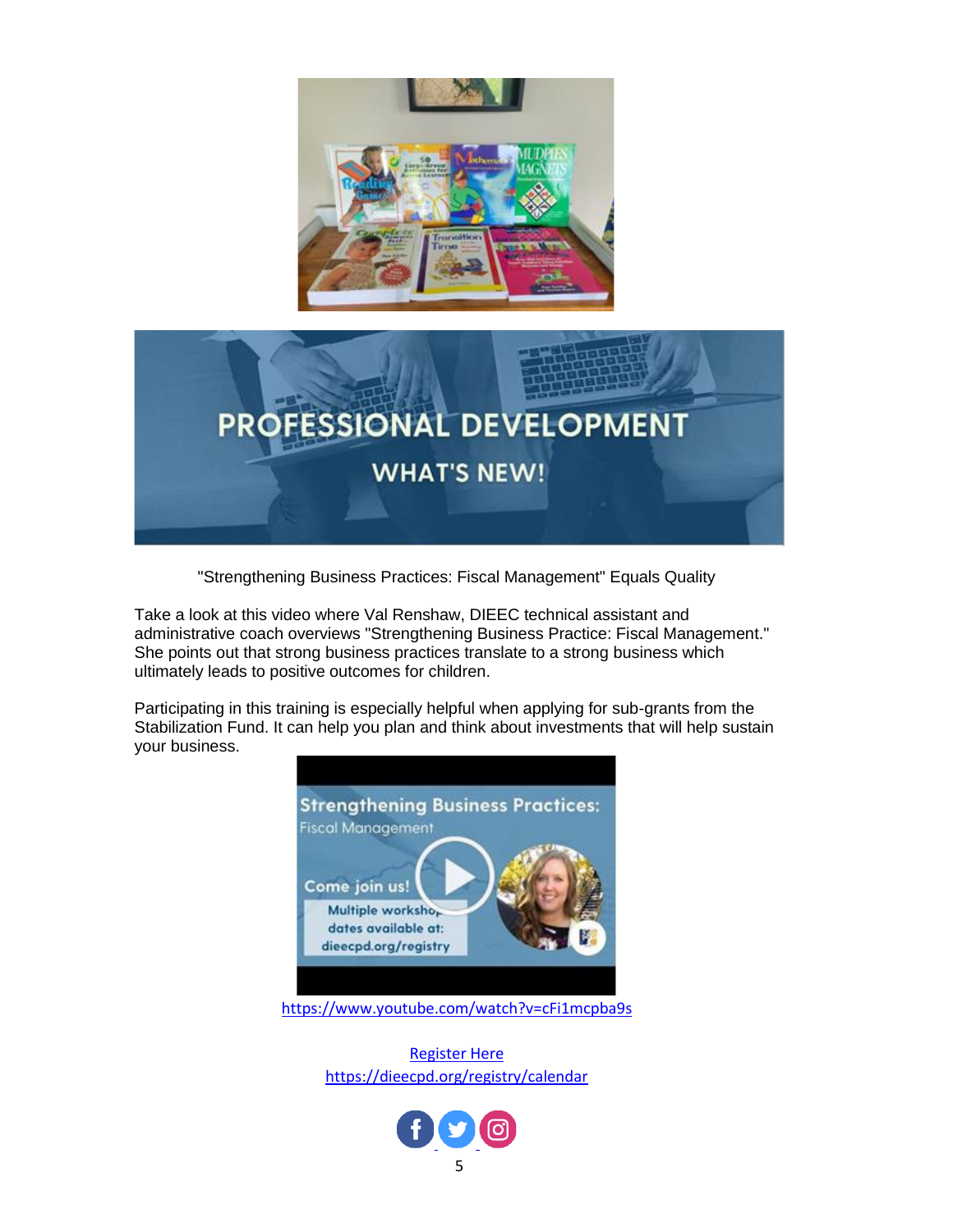



"Strengthening Business Practices: Fiscal Management" Equals Quality

Take a look at this video where Val Renshaw, DIEEC technical assistant and administrative coach overviews "Strengthening Business Practice: Fiscal Management." She points out that strong business practices translate to a strong business which ultimately leads to positive outcomes for children.

Participating in this training is especially helpful when applying for sub-grants from the Stabilization Fund. It can help you plan and think about investments that will help sustain your business.



<https://www.youtube.com/watch?v=cFi1mcpba9s>

[Register Here](https://dieecpd.org/registry/calendar) <https://dieecpd.org/registry/calendar>